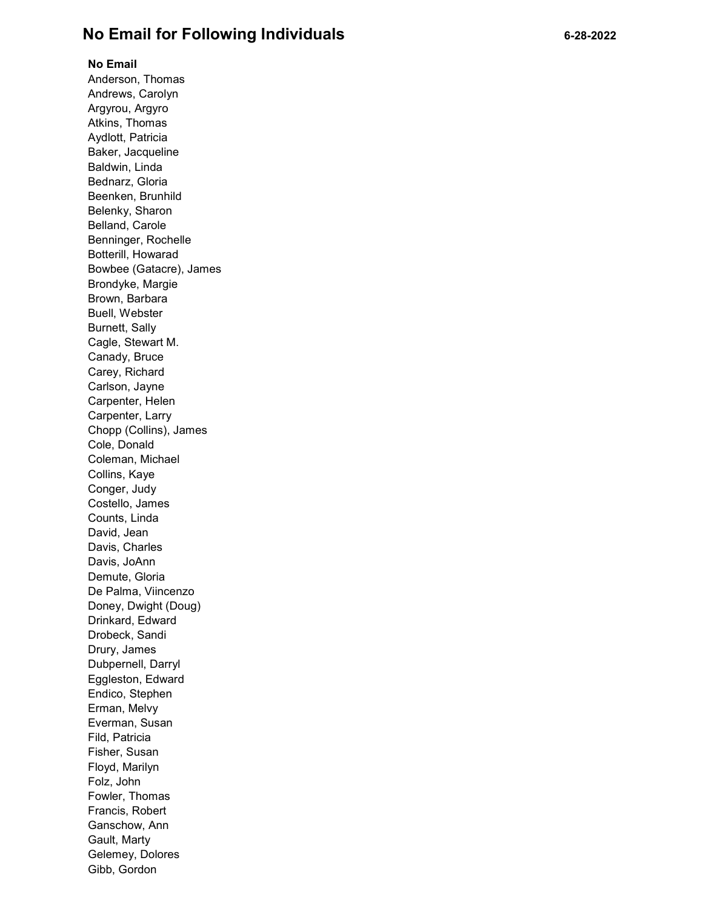## No Email for Following Individuals 6-28-2022

## No Email

Anderson, Thomas Andrews, Carolyn Argyrou, Argyro Atkins, Thomas Aydlott, Patricia Baker, Jacqueline Baldwin, Linda Bednarz, Gloria Beenken, Brunhild Belenky, Sharon Belland, Carole Benninger, Rochelle Botterill, Howarad Bowbee (Gatacre), James Brondyke, Margie Brown, Barbara Buell, Webster Burnett, Sally Cagle, Stewart M. Canady, Bruce Carey, Richard Carlson, Jayne Carpenter, Helen Carpenter, Larry Chopp (Collins), James Cole, Donald Coleman, Michael Collins, Kaye Conger, Judy Costello, James Counts, Linda David, Jean Davis, Charles Davis, JoAnn Demute, Gloria De Palma, Viincenzo Doney, Dwight (Doug) Drinkard, Edward Drobeck, Sandi Drury, James Dubpernell, Darryl Eggleston, Edward Endico, Stephen Erman, Melvy Everman, Susan Fild, Patricia Fisher, Susan Floyd, Marilyn Folz, John Fowler, Thomas Francis, Robert Ganschow, Ann Gault, Marty Gelemey, Dolores Gibb, Gordon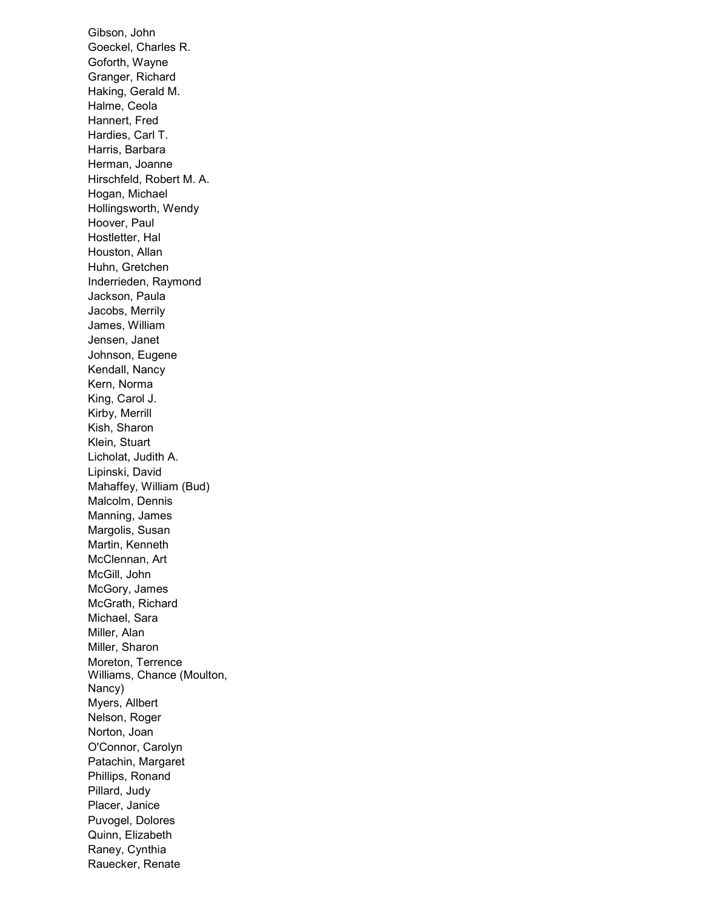Gibson, John Goeckel, Charles R. Goforth, Wayne Granger, Richard Haking, Gerald M. Halme, Ceola Hannert, Fred Hardies, Carl T. Harris, Barbara Herman, Joanne Hirschfeld, Robert M. A. Hogan, Michael Hollingsworth, Wendy Hoover, Paul Hostletter, Hal Houston, Allan Huhn, Gretchen Inderrieden, Raymond Jackson, Paula Jacobs, Merrily James, William Jensen, Janet Johnson, Eugene Kendall, Nancy Kern, Norma King, Carol J. Kirby, Merrill Kish, Sharon Klein, Stuart Licholat, Judith A. Lipinski, David Mahaffey, William (Bud) Malcolm, Dennis Manning, James Margolis, Susan Martin, Kenneth McClennan, Art McGill, John McGory, James McGrath, Richard Michael, Sara Miller, Alan Miller, Sharon Moreton, Terrence Williams, Chance (Moulton, Nancy) Myers, Allbert Nelson, Roger Norton, Joan O'Connor, Carolyn Patachin, Margaret Phillips, Ronand Pillard, Judy Placer, Janice Puvogel, Dolores Quinn, Elizabeth Raney, Cynthia Rauecker, Renate